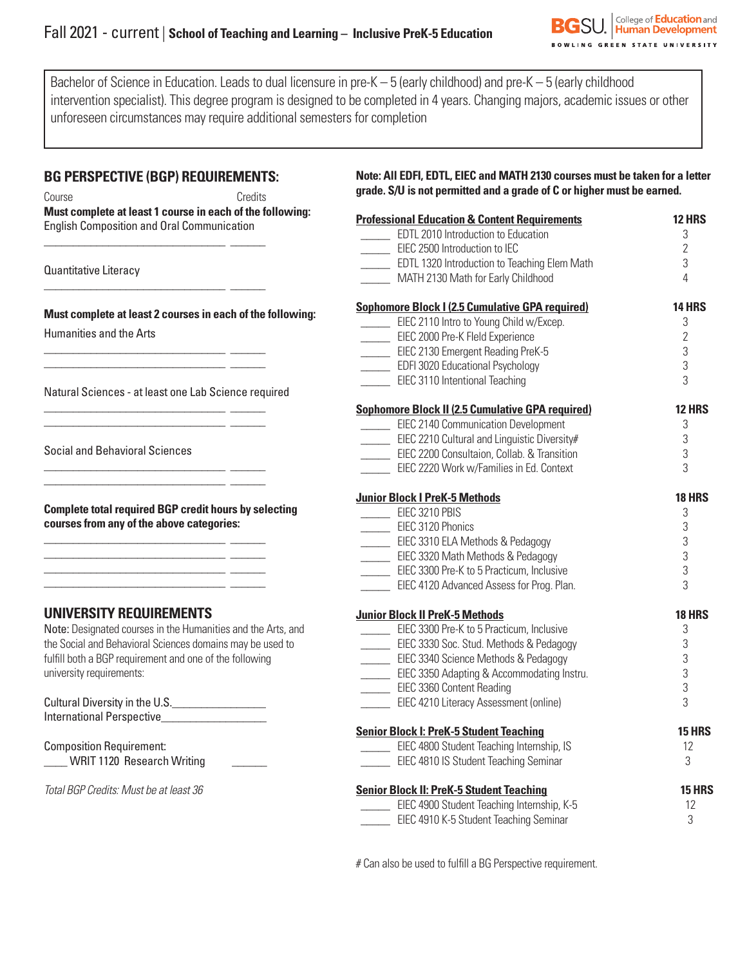Bachelor of Science in Education. Leads to dual licensure in pre-K – 5 (early childhood) and pre-K – 5 (early childhood intervention specialist). This degree program is designed to be completed in 4 years. Changing majors, academic issues or other unforeseen circumstances may require additional semesters for completion

## **BG PERSPECTIVE (BGP) REQUIREMENTS:**

\_\_\_\_\_\_\_\_\_\_\_\_\_\_\_\_\_\_\_\_\_\_\_\_\_\_\_\_\_\_\_ \_\_\_\_\_\_

\_\_\_\_\_\_\_\_\_\_\_\_\_\_\_\_\_\_\_\_\_\_\_\_\_\_\_\_\_\_\_ \_\_\_\_\_\_

\_\_\_\_\_\_\_\_\_\_\_\_\_\_\_\_\_\_\_\_\_\_\_\_\_\_\_\_\_\_\_ \_\_\_\_\_\_ \_\_\_\_\_\_\_\_\_\_\_\_\_\_\_\_\_\_\_\_\_\_\_\_\_\_\_\_\_\_\_ \_\_\_\_\_\_

\_\_\_\_\_\_\_\_\_\_\_\_\_\_\_\_\_\_\_\_\_\_\_\_\_\_\_\_\_\_\_ \_\_\_\_\_\_ \_\_\_\_\_\_\_\_\_\_\_\_\_\_\_\_\_\_\_\_\_\_\_\_\_\_\_\_\_\_\_ \_\_\_\_\_\_

\_\_\_\_\_\_\_\_\_\_\_\_\_\_\_\_\_\_\_\_\_\_\_\_\_\_\_\_\_\_\_ \_\_\_\_\_\_  $\mathcal{L}_\text{max}$  and  $\mathcal{L}_\text{max}$  and  $\mathcal{L}_\text{max}$  and  $\mathcal{L}_\text{max}$ 

\_\_\_\_\_\_\_\_\_\_\_\_\_\_\_\_\_\_\_\_\_\_\_\_\_\_\_\_\_\_\_ \_\_\_\_\_\_ \_\_\_\_\_\_\_\_\_\_\_\_\_\_\_\_\_\_\_\_\_\_\_\_\_\_\_\_\_\_\_ \_\_\_\_\_\_ \_\_\_\_\_\_\_\_\_\_\_\_\_\_\_\_\_\_\_\_\_\_\_\_\_\_\_\_\_\_\_ \_\_\_\_\_\_ \_\_\_\_\_\_\_\_\_\_\_\_\_\_\_\_\_\_\_\_\_\_\_\_\_\_\_\_\_\_\_ \_\_\_\_\_\_

Course Credits **Must complete at least 1 course in each of the following:**  English Composition and Oral Communication

Quantitative Literacy

**Must complete at least 2 courses in each of the following:** Humanities and the Arts

Natural Sciences - at least one Lab Science required

Social and Behavioral Sciences

**Complete total required BGP credit hours by selecting courses from any of the above categories:**

## **UNIVERSITY REQUIREMENTS**

Note: Designated courses in the Humanities and the Arts, and the Social and Behavioral Sciences domains may be used to fulfill both a BGP requirement and one of the following university requirements:

Cultural Diversity in the U.S.\_\_\_\_\_\_\_\_\_\_\_\_\_\_\_\_ International Perspective\_\_\_\_\_\_\_\_\_\_\_\_\_\_\_\_\_\_

Composition Requirement: WRIT 1120 Research Writing

*Total BGP Credits: Must be at least 36*

**Note: All EDFI, EDTL, EIEC and MATH 2130 courses must be taken for a letter grade. S/U is not permitted and a grade of C or higher must be earned.**

| <b>Professional Education &amp; Content Requirements</b>              | 12 HRS         |
|-----------------------------------------------------------------------|----------------|
| EDTL 2010 Introduction to Education                                   | 3              |
| EIEC 2500 Introduction to IEC                                         | $\overline{2}$ |
| EDTL 1320 Introduction to Teaching Elem Math                          | 3              |
| MATH 2130 Math for Early Childhood                                    | 4              |
| <b>Sophomore Block I (2.5 Cumulative GPA required)</b>                | <b>14 HRS</b>  |
| EIEC 2110 Intro to Young Child w/Excep.                               | 3              |
| EIEC 2000 Pre-K Fleld Experience                                      | $\overline{2}$ |
| EIEC 2130 Emergent Reading PreK-5                                     | 3              |
| <b>EDFI 3020 Educational Psychology</b>                               | 3              |
| <b>EIEC 3110 Intentional Teaching</b>                                 | 3              |
| <b>Sophomore Block II (2.5 Cumulative GPA required)</b>               | <b>12 HRS</b>  |
| EIEC 2140 Communication Development                                   | 3              |
| EIEC 2210 Cultural and Linguistic Diversity#                          | $\sqrt{3}$     |
| EIEC 2200 Consultaion, Collab. & Transition                           | 3              |
| EIEC 2220 Work w/Families in Ed. Context                              | 3              |
| <b>Junior Block I PreK-5 Methods</b>                                  | <b>18 HRS</b>  |
| EIEC 3210 PBIS                                                        | 3              |
| EIEC 3120 Phonics                                                     | 3              |
| EIEC 3310 ELA Methods & Pedagogy<br>EIEC 3320 Math Methods & Pedagogy | 3              |
|                                                                       | 3              |
| EIEC 3300 Pre-K to 5 Practicum, Inclusive                             | 3              |
| EIEC 4120 Advanced Assess for Prog. Plan.                             | 3              |
| <b>Junior Block II PreK-5 Methods</b>                                 | <b>18 HRS</b>  |
| EIEC 3300 Pre-K to 5 Practicum, Inclusive                             | 3              |
| EIEC 3330 Soc. Stud. Methods & Pedagogy                               | 3              |
| EIEC 3340 Science Methods & Pedagogy                                  | 3              |
| EIEC 3350 Adapting & Accommodating Instru.                            | 3              |
| <b>EIEC 3360 Content Reading</b>                                      | 3              |
| EIEC 4210 Literacy Assessment (online)                                | 3              |
| <b>Senior Block I: PreK-5 Student Teaching</b>                        | <b>15 HRS</b>  |
| EIEC 4800 Student Teaching Internship, IS                             | 12             |
| <b>EIEC 4810 IS Student Teaching Seminar</b>                          | 3              |
| <b>Senior Block II: PreK-5 Student Teaching</b>                       | <b>15 HRS</b>  |
| EIEC 4900 Student Teaching Internship, K-5                            | 12             |
| EIEC 4910 K-5 Student Teaching Seminar                                | 3              |
|                                                                       |                |

# Can also be used to fulfill a BG Perspective requirement.